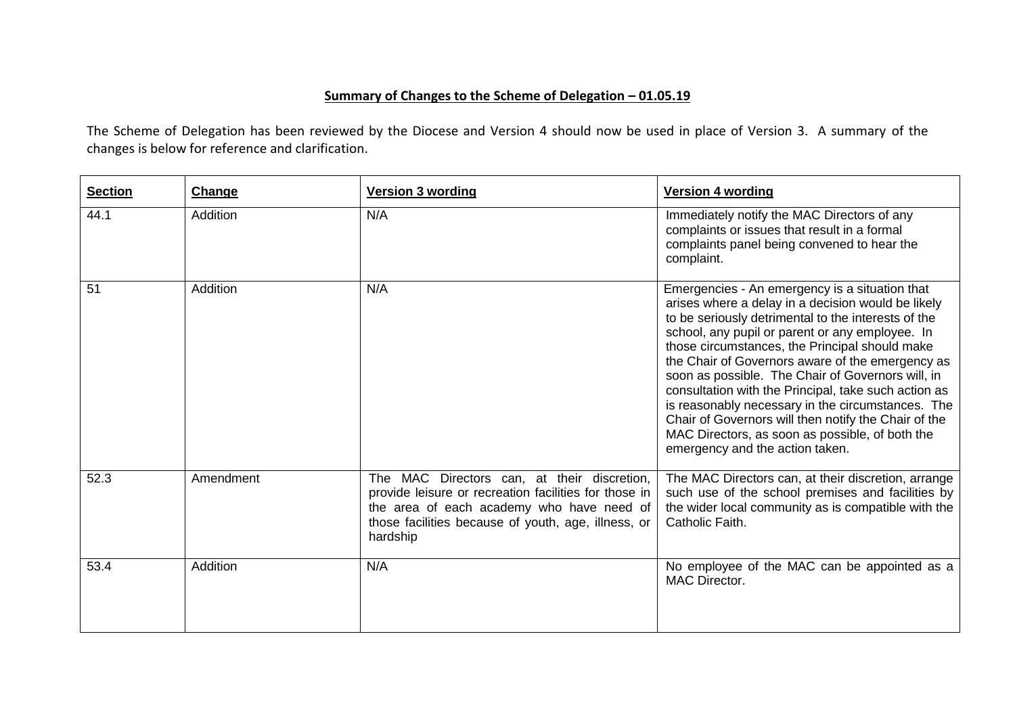## **Summary of Changes to the Scheme of Delegation – 01.05.19**

The Scheme of Delegation has been reviewed by the Diocese and Version 4 should now be used in place of Version 3. A summary of the changes is below for reference and clarification.

| <b>Section</b> | Change          | <b>Version 3 wording</b>                                                                                                                                                                                             | <b>Version 4 wording</b>                                                                                                                                                                                                                                                                                                                                                                                                                                                                                                                                                                                                             |
|----------------|-----------------|----------------------------------------------------------------------------------------------------------------------------------------------------------------------------------------------------------------------|--------------------------------------------------------------------------------------------------------------------------------------------------------------------------------------------------------------------------------------------------------------------------------------------------------------------------------------------------------------------------------------------------------------------------------------------------------------------------------------------------------------------------------------------------------------------------------------------------------------------------------------|
| 44.1           | Addition        | N/A                                                                                                                                                                                                                  | Immediately notify the MAC Directors of any<br>complaints or issues that result in a formal<br>complaints panel being convened to hear the<br>complaint.                                                                                                                                                                                                                                                                                                                                                                                                                                                                             |
| 51             | <b>Addition</b> | N/A                                                                                                                                                                                                                  | Emergencies - An emergency is a situation that<br>arises where a delay in a decision would be likely<br>to be seriously detrimental to the interests of the<br>school, any pupil or parent or any employee. In<br>those circumstances, the Principal should make<br>the Chair of Governors aware of the emergency as<br>soon as possible. The Chair of Governors will, in<br>consultation with the Principal, take such action as<br>is reasonably necessary in the circumstances. The<br>Chair of Governors will then notify the Chair of the<br>MAC Directors, as soon as possible, of both the<br>emergency and the action taken. |
| 52.3           | Amendment       | The MAC Directors can, at their discretion,<br>provide leisure or recreation facilities for those in<br>the area of each academy who have need of<br>those facilities because of youth, age, illness, or<br>hardship | The MAC Directors can, at their discretion, arrange<br>such use of the school premises and facilities by<br>the wider local community as is compatible with the<br>Catholic Faith.                                                                                                                                                                                                                                                                                                                                                                                                                                                   |
| 53.4           | Addition        | N/A                                                                                                                                                                                                                  | No employee of the MAC can be appointed as a<br><b>MAC Director.</b>                                                                                                                                                                                                                                                                                                                                                                                                                                                                                                                                                                 |